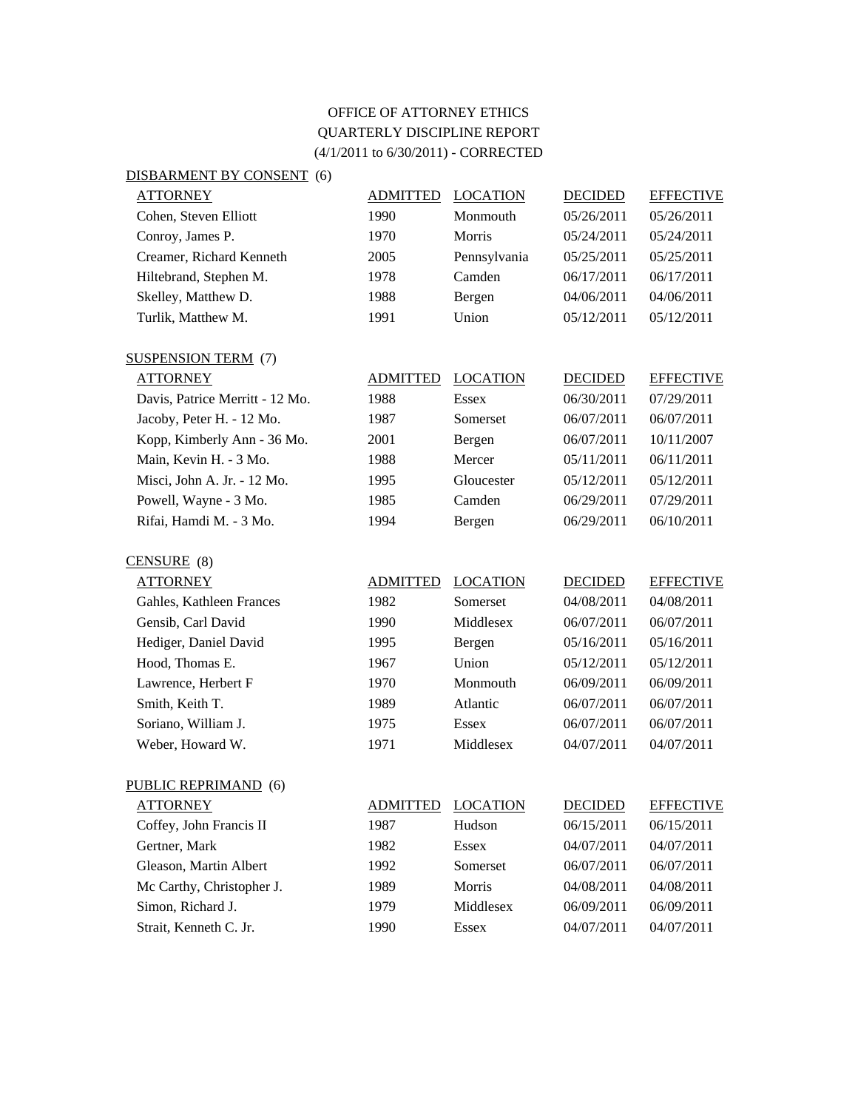## OFFICE OF ATTORNEY ETHICS QUARTERLY DISCIPLINE REPORT (4/1/2011 to 6/30/2011) - CORRECTED

| DISBARMENT BY CONSENT (6)       |                 |                 |                |                  |
|---------------------------------|-----------------|-----------------|----------------|------------------|
| <b>ATTORNEY</b>                 | <b>ADMITTED</b> | <b>LOCATION</b> | <b>DECIDED</b> | <b>EFFECTIVE</b> |
| Cohen, Steven Elliott           | 1990            | Monmouth        | 05/26/2011     | 05/26/2011       |
| Conroy, James P.                | 1970            | Morris          | 05/24/2011     | 05/24/2011       |
| Creamer, Richard Kenneth        | 2005            | Pennsylvania    | 05/25/2011     | 05/25/2011       |
| Hiltebrand, Stephen M.          | 1978            | Camden          | 06/17/2011     | 06/17/2011       |
| Skelley, Matthew D.             | 1988            | Bergen          | 04/06/2011     | 04/06/2011       |
| Turlik, Matthew M.              | 1991            | Union           | 05/12/2011     | 05/12/2011       |
| <b>SUSPENSION TERM (7)</b>      |                 |                 |                |                  |
| <b>ATTORNEY</b>                 | <b>ADMITTED</b> | <b>LOCATION</b> | <b>DECIDED</b> | <b>EFFECTIVE</b> |
| Davis, Patrice Merritt - 12 Mo. | 1988            | <b>Essex</b>    | 06/30/2011     | 07/29/2011       |
| Jacoby, Peter H. - 12 Mo.       | 1987            | Somerset        | 06/07/2011     | 06/07/2011       |
| Kopp, Kimberly Ann - 36 Mo.     | 2001            | Bergen          | 06/07/2011     | 10/11/2007       |
| Main, Kevin H. - 3 Mo.          | 1988            | Mercer          | 05/11/2011     | 06/11/2011       |
| Misci, John A. Jr. - 12 Mo.     | 1995            | Gloucester      | 05/12/2011     | 05/12/2011       |
| Powell, Wayne - 3 Mo.           | 1985            | Camden          | 06/29/2011     | 07/29/2011       |
| Rifai, Hamdi M. - 3 Mo.         | 1994            | Bergen          | 06/29/2011     | 06/10/2011       |
| CENSURE (8)                     |                 |                 |                |                  |
| <b>ATTORNEY</b>                 | <b>ADMITTED</b> | <b>LOCATION</b> | <b>DECIDED</b> | <b>EFFECTIVE</b> |
| Gahles, Kathleen Frances        | 1982            | Somerset        | 04/08/2011     | 04/08/2011       |
| Gensib, Carl David              | 1990            | Middlesex       | 06/07/2011     | 06/07/2011       |
| Hediger, Daniel David           | 1995            | Bergen          | 05/16/2011     | 05/16/2011       |
| Hood, Thomas E.                 | 1967            | Union           | 05/12/2011     | 05/12/2011       |
| Lawrence, Herbert F             | 1970            | Monmouth        | 06/09/2011     | 06/09/2011       |
| Smith, Keith T.                 | 1989            | Atlantic        | 06/07/2011     | 06/07/2011       |
| Soriano, William J.             | 1975            | <b>Essex</b>    | 06/07/2011     | 06/07/2011       |
| Weber, Howard W.                | 1971            | Middlesex       | 04/07/2011     | 04/07/2011       |

| <b>ATTORNEY</b>           | <b>ADMITTED</b> | <b>LOCATION</b> | <b>DECIDED</b> | <b>EFFECTIVE</b> |
|---------------------------|-----------------|-----------------|----------------|------------------|
| Coffey, John Francis II   | 1987            | Hudson          | 06/15/2011     | 06/15/2011       |
| Gertner, Mark             | 1982            | <b>Essex</b>    | 04/07/2011     | 04/07/2011       |
| Gleason, Martin Albert    | 1992            | Somerset        | 06/07/2011     | 06/07/2011       |
| Mc Carthy, Christopher J. | 1989            | <b>Morris</b>   | 04/08/2011     | 04/08/2011       |
| Simon, Richard J.         | 1979            | Middlesex       | 06/09/2011     | 06/09/2011       |
| Strait, Kenneth C. Jr.    | 1990            | Essex           | 04/07/2011     | 04/07/2011       |

PUBLIC REPRIMAND (6)